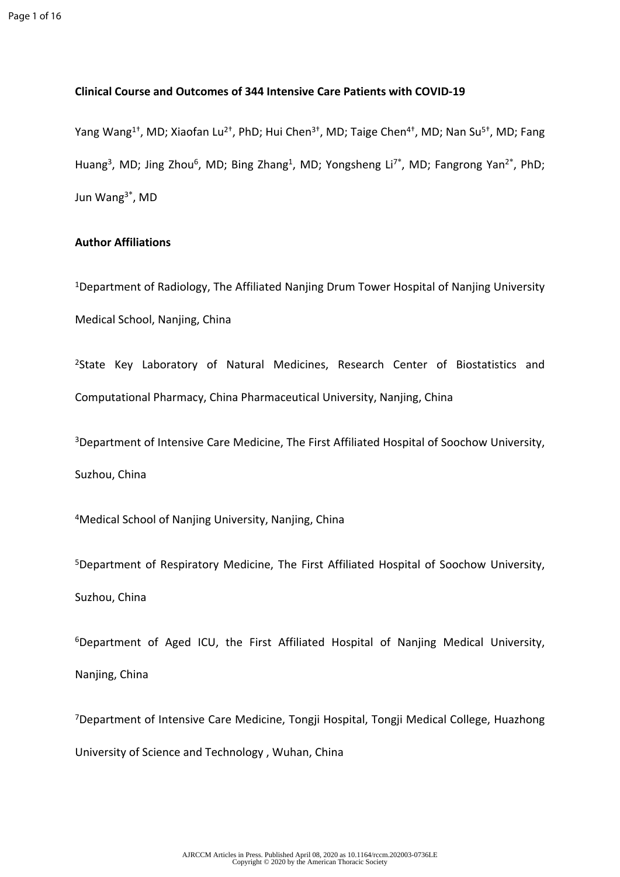### **Clinical Course and Outcomes of 344 Intensive Care Patients with COVID-19**

Yang Wang<sup>1†</sup>, MD; Xiaofan Lu<sup>2†</sup>, PhD; Hui Chen<sup>3†</sup>, MD; Taige Chen<sup>4†</sup>, MD; Nan Su<sup>5†</sup>, MD; Fang Huang<sup>3</sup>, MD; Jing Zhou<sup>6</sup>, MD; Bing Zhang<sup>1</sup>, MD; Yongsheng Li<sup>7\*</sup>, MD; Fangrong Yan<sup>2\*</sup>, PhD; Jun Wang<sup>3</sup>\* , MD

## **Author Affiliations**

<sup>1</sup>Department of Radiology, The Affiliated Nanjing Drum Tower Hospital of Nanjing University Medical School, Nanjing, China

<sup>2</sup>State Key Laboratory of Natural Medicines, Research Center of Biostatistics and Computational Pharmacy, China Pharmaceutical University, Nanjing, China

<sup>3</sup>Department of Intensive Care Medicine, The First Affiliated Hospital of Soochow University, Suzhou, China

<sup>4</sup>Medical School of Nanjing University, Nanjing, China

<sup>5</sup>Department of Respiratory Medicine, The First Affiliated Hospital of Soochow University, Suzhou, China

<sup>6</sup>Department of Aged ICU, the First Affiliated Hospital of Nanjing Medical University, Nanjing, China

<sup>7</sup>Department of Intensive Care Medicine, Tongji Hospital, Tongji Medical College, Huazhong University of Science and Technology , Wuhan, China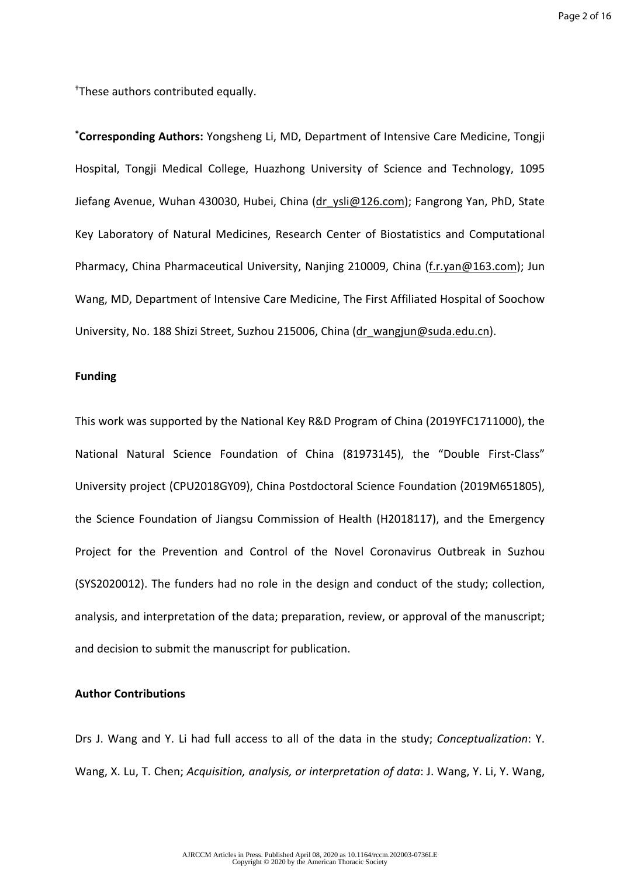†These authors contributed equally.

**\*Corresponding Authors:** Yongsheng Li, MD, Department of Intensive Care Medicine, Tongji Hospital, Tongji Medical College, Huazhong University of Science and Technology, 1095 Jiefang Avenue, Wuhan 430030, Hubei, China [\(dr\\_ysli@126.com\)](dr_ysli@126.com); Fangrong Yan, PhD, State Key Laboratory of Natural Medicines, Research Center of Biostatistics and Computational Pharmacy, China Pharmaceutical University, Nanjing 210009, China (<f.r.yan@163.com>); Jun Wang, MD, Department of Intensive Care Medicine, The First Affiliated Hospital of Soochow University, No. 188 Shizi Street, Suzhou 215006, China [\(dr\\_wangjun@suda.edu.cn](dr_wangjun@suda.edu.cn)).

#### **Funding**

This work was supported by the National Key R&D Program of China (2019YFC1711000), the National Natural Science Foundation of China (81973145), the "Double First-Class" University project (CPU2018GY09), China Postdoctoral Science Foundation (2019M651805), the Science Foundation of Jiangsu Commission of Health (H2018117), and the Emergency Project for the Prevention and Control of the Novel Coronavirus Outbreak in Suzhou (SYS2020012). The funders had no role in the design and conduct of the study; collection, analysis, and interpretation of the data; preparation, review, or approval of the manuscript; and decision to submit the manuscript for publication.

### **Author Contributions**

Drs J. Wang and Y. Li had full access to all of the data in the study; *Conceptualization*: Y. Wang, X. Lu, T. Chen; *Acquisition, analysis, or interpretation of data*: J. Wang, Y. Li, Y. Wang,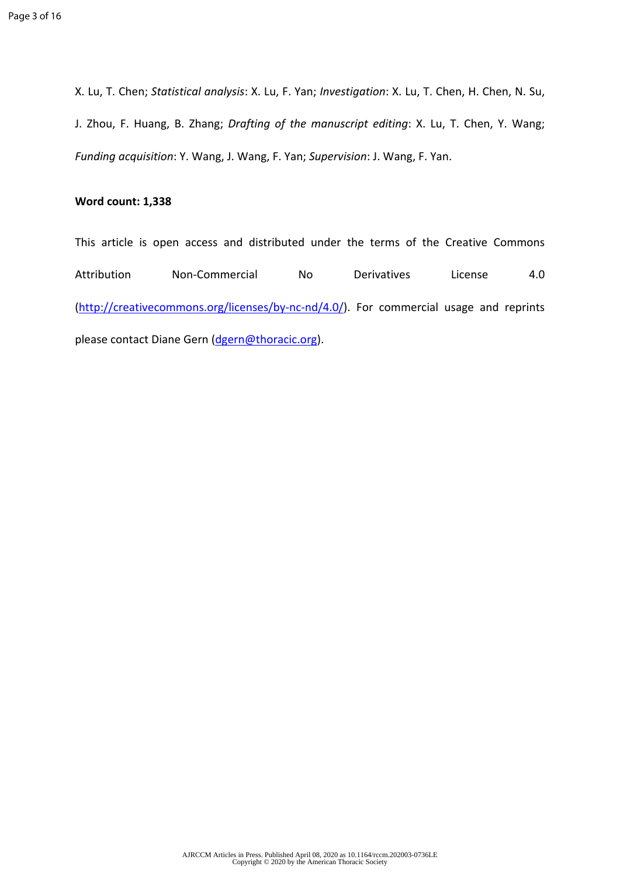X. Lu, T. Chen; *Statistical analysis*: X. Lu, F. Yan; *Investigation*: X. Lu, T. Chen, H. Chen, N. Su, J. Zhou, F. Huang, B. Zhang; *Drafting of the manuscript editing*: X. Lu, T. Chen, Y. Wang; *Funding acquisition*: Y. Wang, J. Wang, F. Yan; *Supervision*: J. Wang, F. Yan.

# **Word count: 1,338**

This article is open access and distributed under the terms of the Creative Commons Attribution Non-Commercial No Derivatives License 4.0 (<http://creativecommons.org/licenses/by-nc-nd/4.0/>). For commercial usage and reprints please contact Diane Gern ([dgern@thoracic.org\)](mailto:dgern@thoracic.org).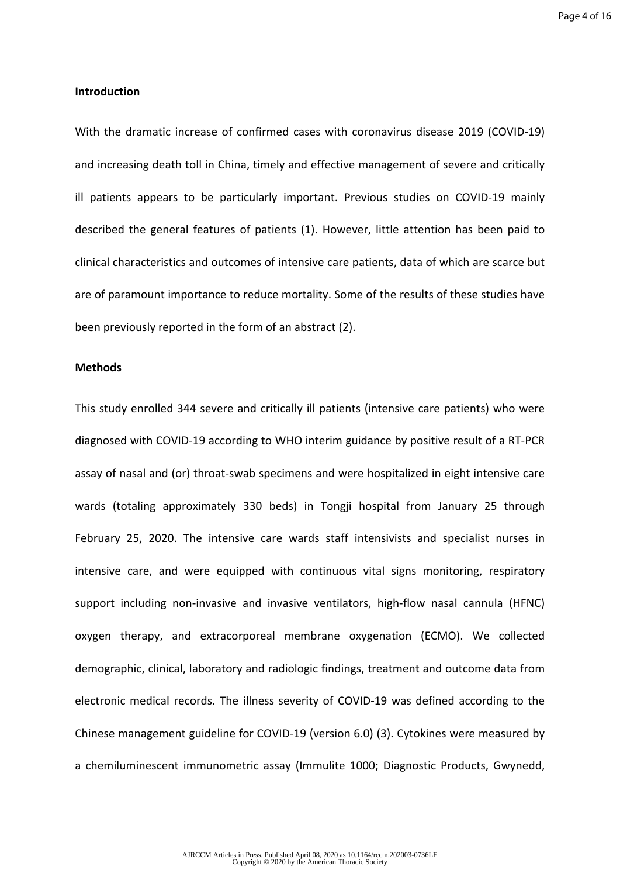### **Introduction**

With the dramatic increase of confirmed cases with coronavirus disease 2019 (COVID-19) and increasing death toll in China, timely and effective management of severe and critically ill patients appears to be particularly important. Previous studies on COVID-19 mainly described the general features of patients (1). However, little attention has been paid to clinical characteristics and outcomes of intensive care patients, data of which are scarce but are of paramount importance to reduce mortality. Some of the results of these studies have been previously reported in the form of an abstract (2).

#### **Methods**

This study enrolled 344 severe and critically ill patients (intensive care patients) who were diagnosed with COVID-19 according to WHO interim guidance by positive result of a RT-PCR assay of nasal and (or) throat-swab specimens and were hospitalized in eight intensive care wards (totaling approximately 330 beds) in Tongji hospital from January 25 through February 25, 2020. The intensive care wards staff intensivists and specialist nurses in intensive care, and were equipped with continuous vital signs monitoring, respiratory support including non-invasive and invasive ventilators, high-flow nasal cannula (HFNC) oxygen therapy, and extracorporeal membrane oxygenation (ECMO). We collected demographic, clinical, laboratory and radiologic findings, treatment and outcome data from electronic medical records. The illness severity of COVID-19 was defined according to the Chinese management guideline for COVID-19 (version 6.0) (3). Cytokines were measured by a chemiluminescent immunometric assay (Immulite 1000; Diagnostic Products, Gwynedd,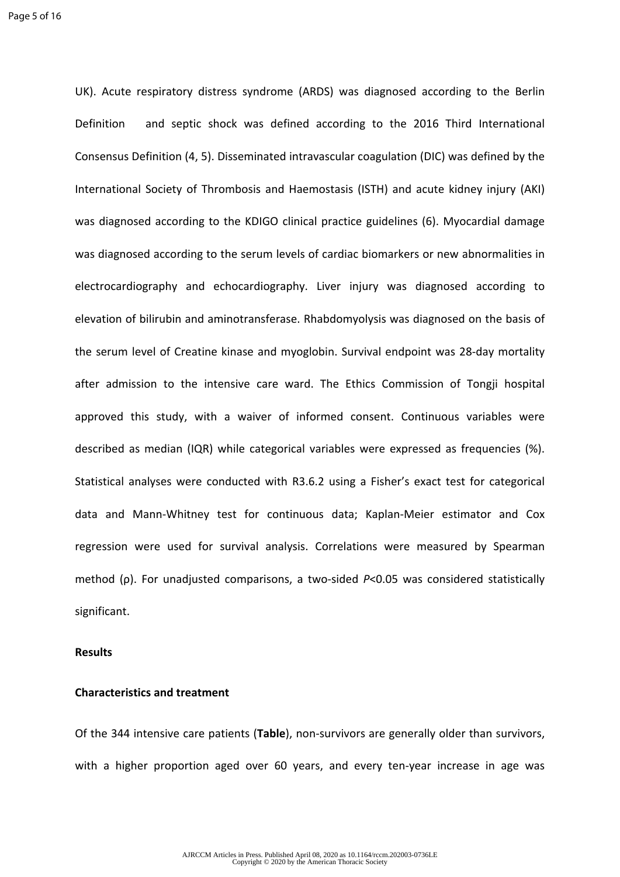UK). Acute respiratory distress syndrome (ARDS) was diagnosed according to the Berlin Definition and septic shock was defined according to the 2016 Third International Consensus Definition (4, 5). Disseminated intravascular coagulation (DIC) was defined by the International Society of Thrombosis and Haemostasis (ISTH) and acute kidney injury (AKI) was diagnosed according to the KDIGO clinical practice guidelines (6). Myocardial damage was diagnosed according to the serum levels of cardiac biomarkers or new abnormalities in electrocardiography and echocardiography. Liver injury was diagnosed according to elevation of bilirubin and aminotransferase. Rhabdomyolysis was diagnosed on the basis of the serum level of Creatine kinase and myoglobin. Survival endpoint was 28-day mortality after admission to the intensive care ward. The Ethics Commission of Tongji hospital approved this study, with a waiver of informed consent. Continuous variables were described as median (IQR) while categorical variables were expressed as frequencies (%). Statistical analyses were conducted with R3.6.2 using a Fisher's exact test for categorical data and Mann-Whitney test for continuous data; Kaplan-Meier estimator and Cox regression were used for survival analysis. Correlations were measured by Spearman method (ρ). For unadjusted comparisons, a two-sided *P*<0.05 was considered statistically significant.

#### **Results**

#### **Characteristics and treatment**

Of the 344 intensive care patients (**Table**), non-survivors are generally older than survivors, with a higher proportion aged over 60 years, and every ten-year increase in age was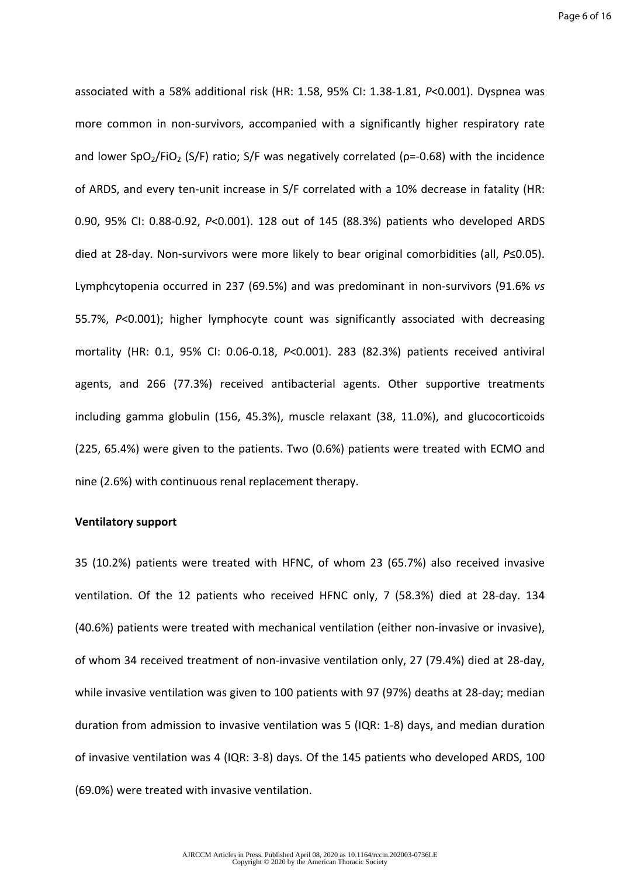associated with a 58% additional risk (HR: 1.58, 95% CI: 1.38-1.81, *P*<0.001). Dyspnea was more common in non-survivors, accompanied with a significantly higher respiratory rate and lower SpO<sub>2</sub>/FiO<sub>2</sub> (S/F) ratio; S/F was negatively correlated ( $p=-0.68$ ) with the incidence of ARDS, and every ten-unit increase in S/F correlated with a 10% decrease in fatality (HR: 0.90, 95% CI: 0.88-0.92, *P*<0.001). 128 out of 145 (88.3%) patients who developed ARDS died at 28-day. Non-survivors were more likely to bear original comorbidities (all, *P*≤0.05). Lymphcytopenia occurred in 237 (69.5%) and was predominant in non-survivors (91.6% *vs* 55.7%, *P*<0.001); higher lymphocyte count was significantly associated with decreasing mortality (HR: 0.1, 95% CI: 0.06-0.18, *P*<0.001). 283 (82.3%) patients received antiviral agents, and 266 (77.3%) received antibacterial agents. Other supportive treatments including gamma globulin (156, 45.3%), muscle relaxant (38, 11.0%), and glucocorticoids (225, 65.4%) were given to the patients. Two (0.6%) patients were treated with ECMO and nine (2.6%) with continuous renal replacement therapy.

#### **Ventilatory support**

35 (10.2%) patients were treated with HFNC, of whom 23 (65.7%) also received invasive ventilation. Of the 12 patients who received HFNC only, 7 (58.3%) died at 28-day. 134 (40.6%) patients were treated with mechanical ventilation (either non-invasive or invasive), of whom 34 received treatment of non-invasive ventilation only, 27 (79.4%) died at 28-day, while invasive ventilation was given to 100 patients with 97 (97%) deaths at 28-day; median duration from admission to invasive ventilation was 5 (IQR: 1-8) days, and median duration of invasive ventilation was 4 (IQR: 3-8) days. Of the 145 patients who developed ARDS, 100 (69.0%) were treated with invasive ventilation.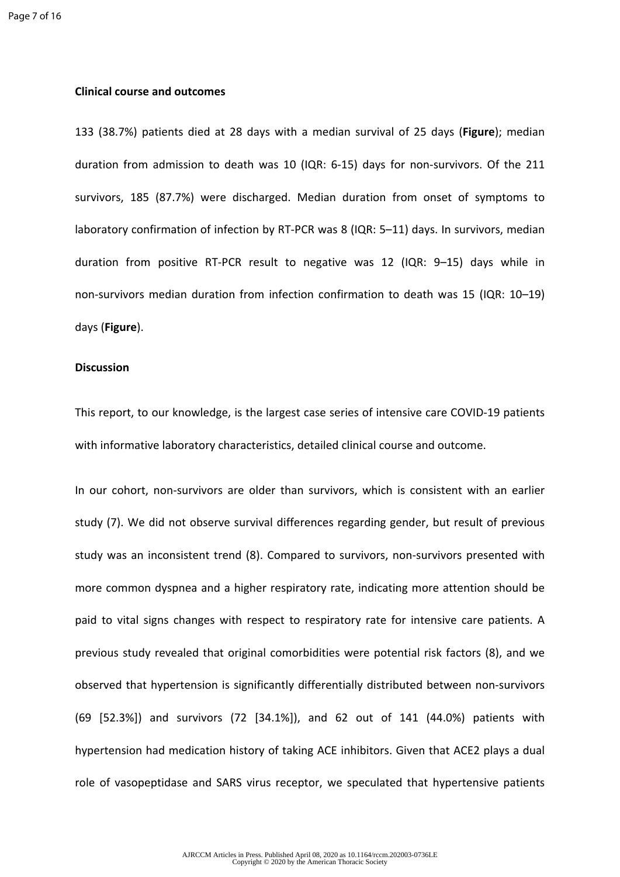#### **Clinical course and outcomes**

133 (38.7%) patients died at 28 days with a median survival of 25 days (**Figure**); median duration from admission to death was 10 (IQR: 6-15) days for non-survivors. Of the 211 survivors, 185 (87.7%) were discharged. Median duration from onset of symptoms to laboratory confirmation of infection by RT-PCR was 8 (IQR: 5–11) days. In survivors, median duration from positive RT-PCR result to negative was 12 (IQR: 9–15) days while in non-survivors median duration from infection confirmation to death was 15 (IQR: 10–19) days (**Figure**).

### **Discussion**

This report, to our knowledge, is the largest case series of intensive care COVID-19 patients with informative laboratory characteristics, detailed clinical course and outcome.

In our cohort, non-survivors are older than survivors, which is consistent with an earlier study (7). We did not observe survival differences regarding gender, but result of previous study was an inconsistent trend (8). Compared to survivors, non-survivors presented with more common dyspnea and a higher respiratory rate, indicating more attention should be paid to vital signs changes with respect to respiratory rate for intensive care patients. A previous study revealed that original comorbidities were potential risk factors (8), and we observed that hypertension is significantly differentially distributed between non-survivors (69 [52.3%]) and survivors (72 [34.1%]), and 62 out of 141 (44.0%) patients with hypertension had medication history of taking ACE inhibitors. Given that ACE2 plays a dual role of vasopeptidase and SARS virus receptor, we speculated that hypertensive patients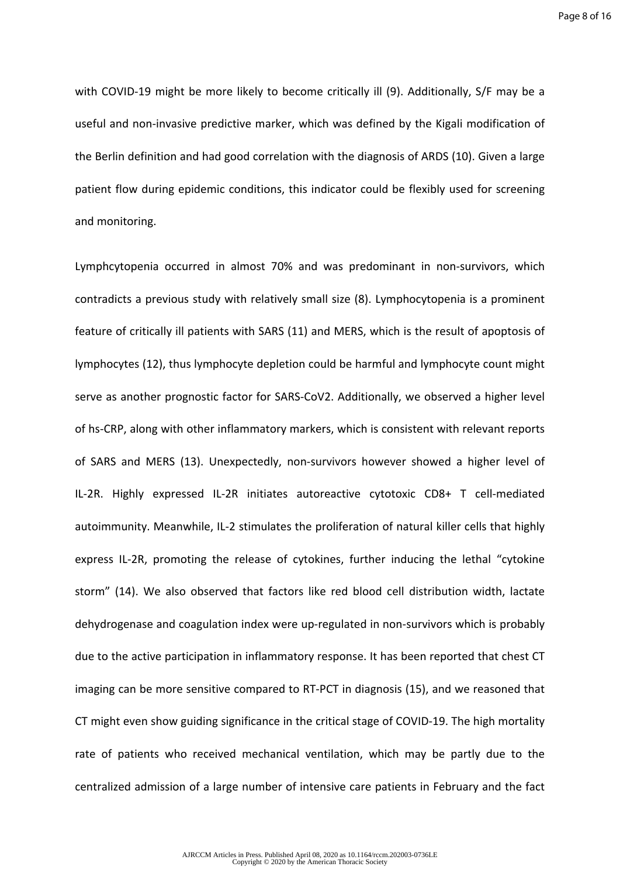with COVID-19 might be more likely to become critically ill (9). Additionally, S/F may be a useful and non-invasive predictive marker, which was defined by the Kigali modification of the Berlin definition and had good correlation with the diagnosis of ARDS (10). Given a large patient flow during epidemic conditions, this indicator could be flexibly used for screening and monitoring.

Lymphcytopenia occurred in almost 70% and was predominant in non-survivors, which contradicts a previous study with relatively small size (8). Lymphocytopenia is a prominent feature of critically ill patients with SARS (11) and MERS, which is the result of apoptosis of lymphocytes (12), thus lymphocyte depletion could be harmful and lymphocyte count might serve as another prognostic factor for SARS-CoV2. Additionally, we observed a higher level of hs-CRP, along with other inflammatory markers, which is consistent with relevant reports of SARS and MERS (13). Unexpectedly, non-survivors however showed a higher level of IL-2R. Highly expressed IL-2R initiates autoreactive cytotoxic CD8+ T cell-mediated autoimmunity. Meanwhile, IL-2 stimulates the proliferation of natural killer cells that highly express IL-2R, promoting the release of cytokines, further inducing the lethal "cytokine storm" (14). We also observed that factors like red blood cell distribution width, lactate dehydrogenase and coagulation index were up-regulated in non-survivors which is probably due to the active participation in inflammatory response. It has been reported that chest CT imaging can be more sensitive compared to RT-PCT in diagnosis (15), and we reasoned that CT might even show guiding significance in the critical stage of COVID-19. The high mortality rate of patients who received mechanical ventilation, which may be partly due to the centralized admission of a large number of intensive care patients in February and the fact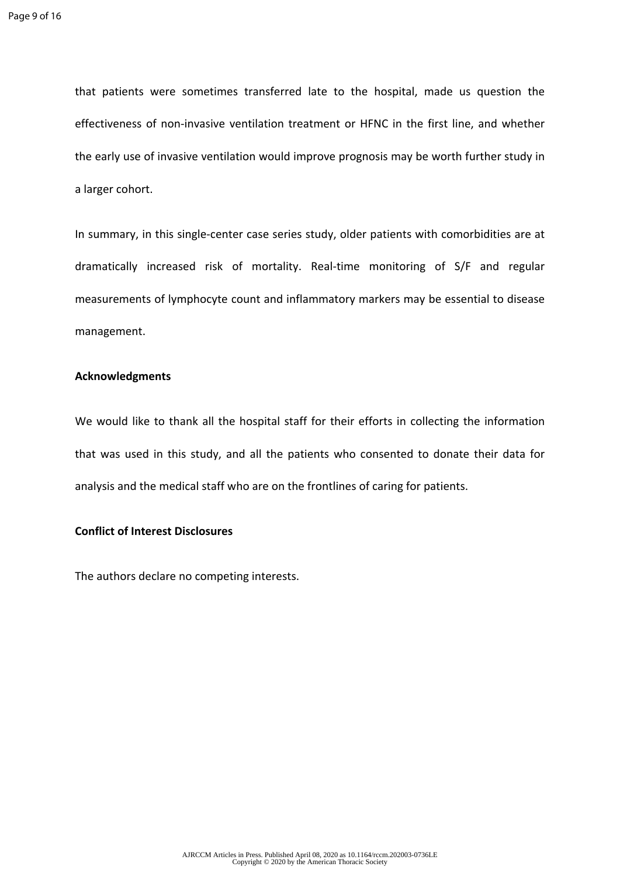that patients were sometimes transferred late to the hospital, made us question the effectiveness of non-invasive ventilation treatment or HFNC in the first line, and whether the early use of invasive ventilation would improve prognosis may be worth further study in a larger cohort.

In summary, in this single-center case series study, older patients with comorbidities are at dramatically increased risk of mortality. Real-time monitoring of S/F and regular measurements of lymphocyte count and inflammatory markers may be essential to disease management.

#### **Acknowledgments**

We would like to thank all the hospital staff for their efforts in collecting the information that was used in this study, and all the patients who consented to donate their data for analysis and the medical staff who are on the frontlines of caring for patients.

## **Conflict of Interest Disclosures**

The authors declare no competing interests.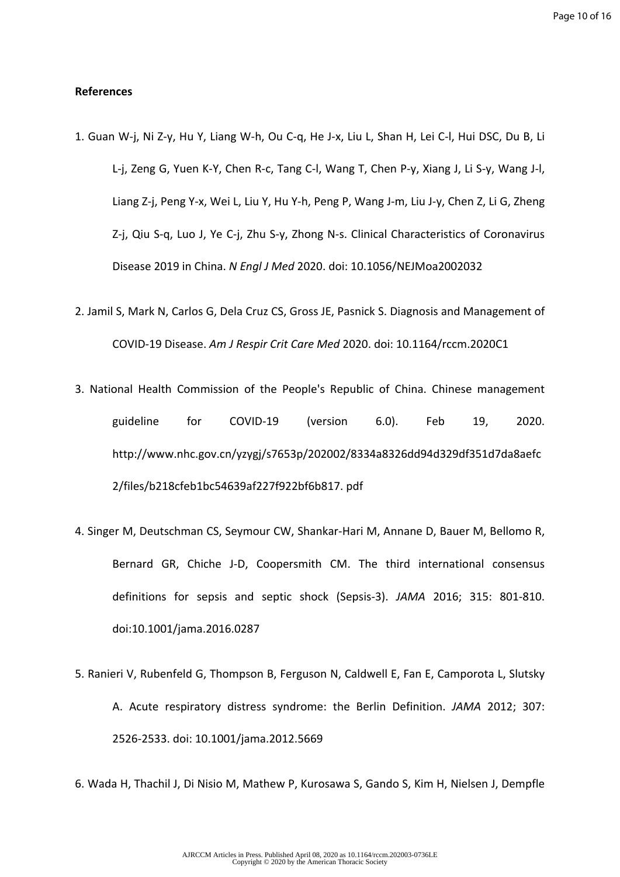#### **References**

- 1. Guan W-j, Ni Z-y, Hu Y, Liang W-h, Ou C-q, He J-x, Liu L, Shan H, Lei C-l, Hui DSC, Du B, Li L-j, Zeng G, Yuen K-Y, Chen R-c, Tang C-l, Wang T, Chen P-y, Xiang J, Li S-y, Wang J-l, Liang Z-j, Peng Y-x, Wei L, Liu Y, Hu Y-h, Peng P, Wang J-m, Liu J-y, Chen Z, Li G, Zheng Z-j, Qiu S-q, Luo J, Ye C-j, Zhu S-y, Zhong N-s. Clinical Characteristics of Coronavirus Disease 2019 in China. *N Engl J Med* 2020. doi: 10.1056/NEJMoa2002032
- 2. Jamil S, Mark N, Carlos G, Dela Cruz CS, Gross JE, Pasnick S. Diagnosis and Management of COVID-19 Disease. *Am J Respir Crit Care Med* 2020. doi: 10.1164/rccm.2020C1
- 3. National Health Commission of the People's Republic of China. Chinese management guideline for COVID-19 (version 6.0). Feb 19, 2020. http://www.nhc.gov.cn/yzygj/s7653p/202002/8334a8326dd94d329df351d7da8aefc 2/files/b218cfeb1bc54639af227f922bf6b817. pdf
- 4. Singer M, Deutschman CS, Seymour CW, Shankar-Hari M, Annane D, Bauer M, Bellomo R, Bernard GR, Chiche J-D, Coopersmith CM. The third international consensus definitions for sepsis and septic shock (Sepsis-3). *JAMA* 2016; 315: 801-810. doi:10.1001/jama.2016.0287
- 5. Ranieri V, Rubenfeld G, Thompson B, Ferguson N, Caldwell E, Fan E, Camporota L, Slutsky A. Acute respiratory distress syndrome: the Berlin Definition. *JAMA* 2012; 307: 2526-2533. doi: 10.1001/jama.2012.5669
- 6. Wada H, Thachil J, Di Nisio M, Mathew P, Kurosawa S, Gando S, Kim H, Nielsen J, Dempfle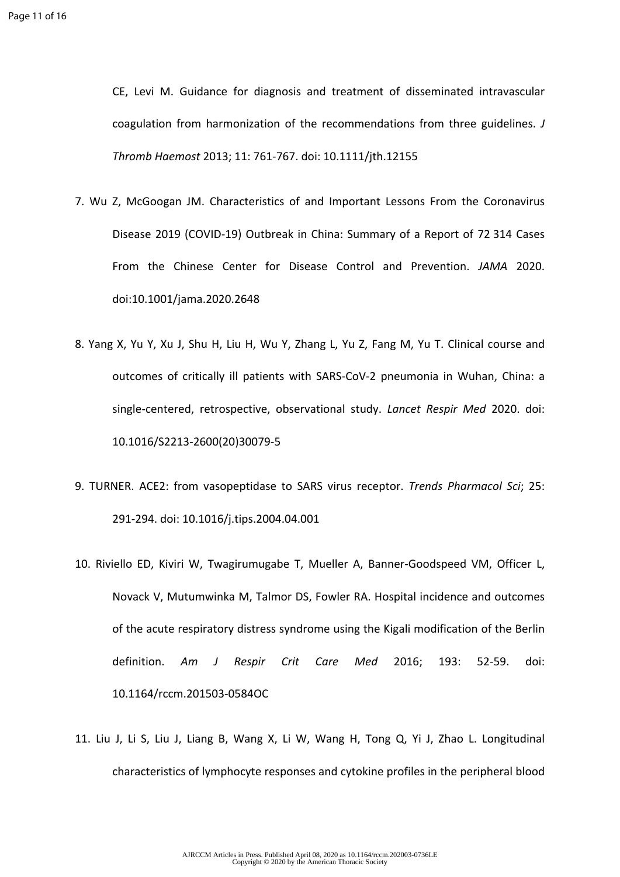CE, Levi M. Guidance for diagnosis and treatment of disseminated intravascular coagulation from harmonization of the recommendations from three guidelines. *J Thromb Haemost* 2013; 11: 761-767. doi: 10.1111/jth.12155

- 7. Wu Z, McGoogan JM. Characteristics of and Important Lessons From the Coronavirus Disease 2019 (COVID-19) Outbreak in China: Summary of a Report of 72 314 Cases From the Chinese Center for Disease Control and Prevention. *JAMA* 2020. doi:10.1001/jama.2020.2648
- 8. Yang X, Yu Y, Xu J, Shu H, Liu H, Wu Y, Zhang L, Yu Z, Fang M, Yu T. Clinical course and outcomes of critically ill patients with SARS-CoV-2 pneumonia in Wuhan, China: a single-centered, retrospective, observational study. *Lancet Respir Med* 2020. doi: 10.1016/S2213-2600(20)30079-5
- 9. TURNER. ACE2: from vasopeptidase to SARS virus receptor. *Trends Pharmacol Sci*; 25: 291-294. doi: 10.1016/j.tips.2004.04.001
- 10. Riviello ED, Kiviri W, Twagirumugabe T, Mueller A, Banner-Goodspeed VM, Officer L, Novack V, Mutumwinka M, Talmor DS, Fowler RA. Hospital incidence and outcomes of the acute respiratory distress syndrome using the Kigali modification of the Berlin definition. *Am J Respir Crit Care Med* 2016; 193: 52-59. doi: 10.1164/rccm.201503-0584OC
- 11. Liu J, Li S, Liu J, Liang B, Wang X, Li W, Wang H, Tong Q, Yi J, Zhao L. Longitudinal characteristics of lymphocyte responses and cytokine profiles in the peripheral blood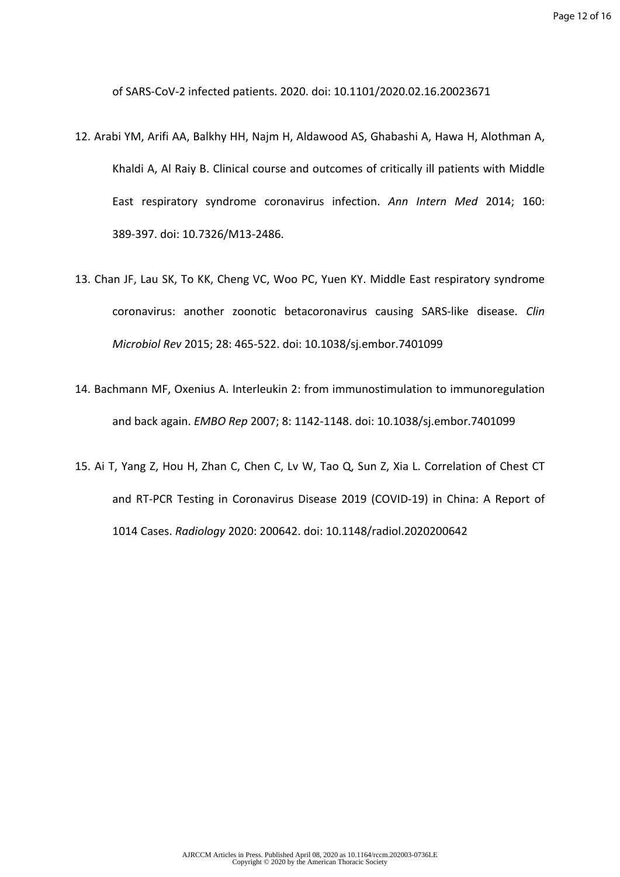of SARS-CoV-2 infected patients. 2020. doi: 10.1101/2020.02.16.20023671

- 12. Arabi YM, Arifi AA, Balkhy HH, Najm H, Aldawood AS, Ghabashi A, Hawa H, Alothman A, Khaldi A, Al Raiy B. Clinical course and outcomes of critically ill patients with Middle East respiratory syndrome coronavirus infection. *Ann Intern Med* 2014; 160: 389-397. doi: 10.7326/M13-2486.
- 13. Chan JF, Lau SK, To KK, Cheng VC, Woo PC, Yuen KY. Middle East respiratory syndrome coronavirus: another zoonotic betacoronavirus causing SARS-like disease. *Clin Microbiol Rev* 2015; 28: 465-522. doi: 10.1038/sj.embor.7401099
- 14. Bachmann MF, Oxenius A. Interleukin 2: from immunostimulation to immunoregulation and back again. *EMBO Rep* 2007; 8: 1142-1148. doi: 10.1038/sj.embor.7401099
- 15. Ai T, Yang Z, Hou H, Zhan C, Chen C, Lv W, Tao Q, Sun Z, Xia L. Correlation of Chest CT and RT-PCR Testing in Coronavirus Disease 2019 (COVID-19) in China: A Report of 1014 Cases. *Radiology* 2020: 200642. doi: 10.1148/radiol.2020200642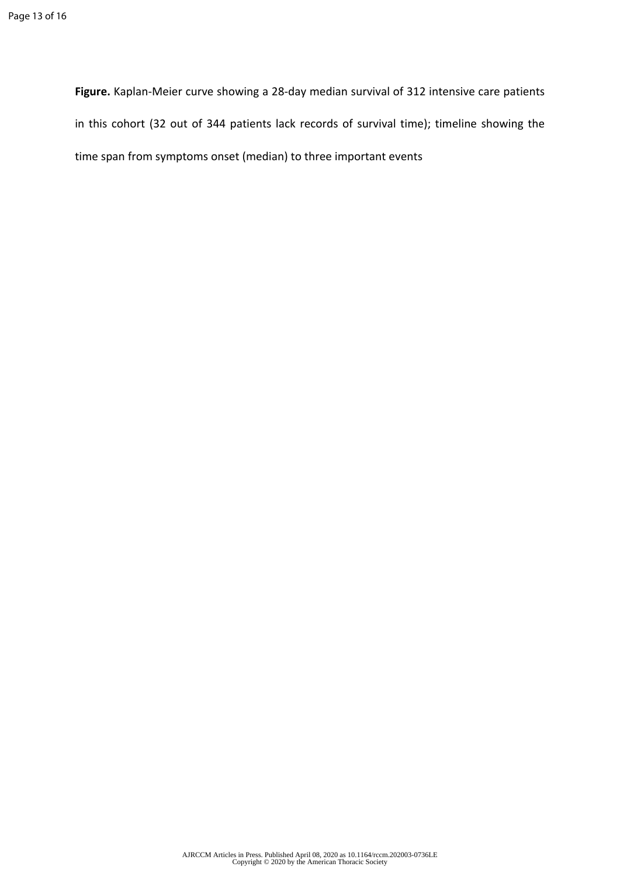**Figure.** Kaplan-Meier curve showing a 28-day median survival of 312 intensive care patients in this cohort (32 out of 344 patients lack records of survival time); timeline showing the time span from symptoms onset (median) to three important events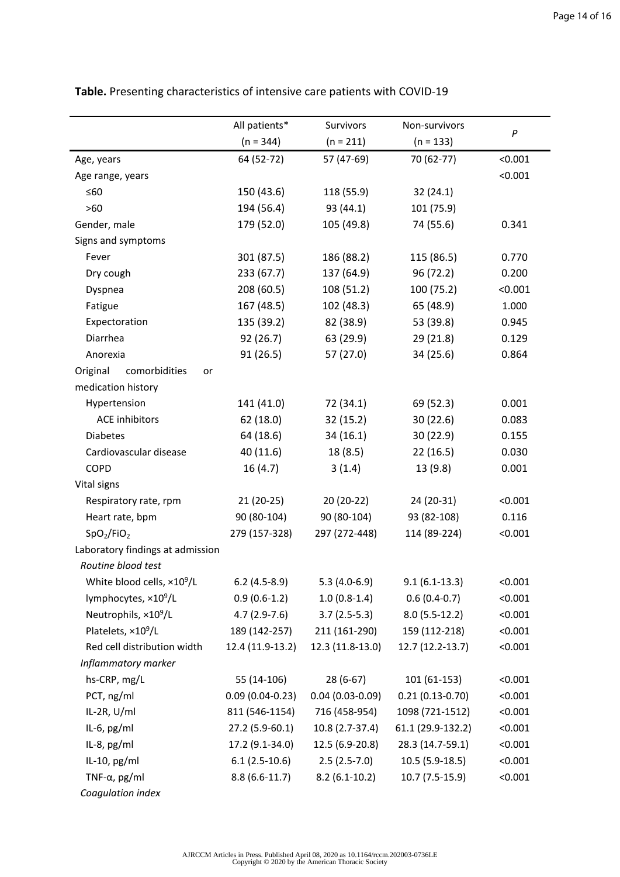|                                                        | All patients*     | Survivors         | Non-survivors     | $\boldsymbol{P}$ |
|--------------------------------------------------------|-------------------|-------------------|-------------------|------------------|
|                                                        | $(n = 344)$       | $(n = 211)$       | $(n = 133)$       |                  |
| Age, years                                             | 64 (52-72)        | 57 (47-69)        | 70 (62-77)        | < 0.001          |
| Age range, years                                       |                   |                   |                   | < 0.001          |
| ≤60                                                    | 150 (43.6)        | 118 (55.9)        | 32(24.1)          |                  |
| $>60$                                                  | 194 (56.4)        | 93 (44.1)         | 101 (75.9)        |                  |
| Gender, male                                           | 179 (52.0)        | 105 (49.8)        | 74 (55.6)         | 0.341            |
| Signs and symptoms                                     |                   |                   |                   |                  |
| Fever                                                  | 301 (87.5)        | 186 (88.2)        | 115 (86.5)        | 0.770            |
| Dry cough                                              | 233(67.7)         | 137 (64.9)        | 96 (72.2)         | 0.200            |
| Dyspnea                                                | 208 (60.5)        | 108 (51.2)        | 100 (75.2)        | < 0.001          |
| Fatigue                                                | 167 (48.5)        | 102 (48.3)        | 65 (48.9)         | 1.000            |
| Expectoration                                          | 135 (39.2)        | 82 (38.9)         | 53 (39.8)         | 0.945            |
| Diarrhea                                               | 92 (26.7)         | 63 (29.9)         | 29(21.8)          | 0.129            |
| Anorexia                                               | 91(26.5)          | 57 (27.0)         | 34 (25.6)         | 0.864            |
| comorbidities<br>Original<br>or                        |                   |                   |                   |                  |
| medication history                                     |                   |                   |                   |                  |
| Hypertension                                           | 141 (41.0)        | 72 (34.1)         | 69 (52.3)         | 0.001            |
| <b>ACE inhibitors</b>                                  | 62 (18.0)         | 32(15.2)          | 30(22.6)          | 0.083            |
| <b>Diabetes</b>                                        | 64 (18.6)         | 34(16.1)          | 30(22.9)          | 0.155            |
| Cardiovascular disease                                 | 40 (11.6)         | 18(8.5)           | 22(16.5)          | 0.030            |
| <b>COPD</b>                                            | 16(4.7)           | 3(1.4)            | 13 (9.8)          | 0.001            |
| Vital signs                                            |                   |                   |                   |                  |
| Respiratory rate, rpm                                  | $21(20-25)$       | $20(20-22)$       | 24 (20-31)        | < 0.001          |
| Heart rate, bpm                                        | 90 (80-104)       | 90 (80-104)       | 93 (82-108)       | 0.116            |
| SpO <sub>2</sub> /FiO <sub>2</sub>                     | 279 (157-328)     | 297 (272-448)     | 114 (89-224)      | < 0.001          |
| Laboratory findings at admission<br>Routine blood test |                   |                   |                   |                  |
| White blood cells, ×10 <sup>9</sup> /L                 | $6.2(4.5-8.9)$    | $5.3(4.0-6.9)$    | $9.1(6.1-13.3)$   | < 0.001          |
| lymphocytes, ×10 <sup>9</sup> /L                       | $0.9(0.6-1.2)$    | $1.0(0.8-1.4)$    | $0.6(0.4-0.7)$    | < 0.001          |
| Neutrophils, ×10 <sup>9</sup> /L                       | $4.7(2.9-7.6)$    | $3.7(2.5-5.3)$    | $8.0(5.5-12.2)$   | < 0.001          |
| Platelets, ×10 <sup>9</sup> /L                         | 189 (142-257)     | 211 (161-290)     | 159 (112-218)     | < 0.001          |
| Red cell distribution width                            | 12.4 (11.9-13.2)  | 12.3 (11.8-13.0)  | 12.7 (12.2-13.7)  | < 0.001          |
| Inflammatory marker                                    |                   |                   |                   |                  |
| hs-CRP, mg/L                                           | 55 (14-106)       | $28(6-67)$        | 101 (61-153)      | < 0.001          |
| PCT, ng/ml                                             | $0.09(0.04-0.23)$ | $0.04(0.03-0.09)$ | $0.21(0.13-0.70)$ | < 0.001          |
| IL-2R, U/ml                                            | 811 (546-1154)    | 716 (458-954)     | 1098 (721-1512)   | < 0.001          |
| IL-6, pg/ml                                            | 27.2 (5.9-60.1)   | 10.8 (2.7-37.4)   | 61.1 (29.9-132.2) | < 0.001          |
| IL-8, pg/ml                                            | 17.2 (9.1-34.0)   | 12.5 (6.9-20.8)   | 28.3 (14.7-59.1)  | < 0.001          |
| IL-10, pg/ml                                           | $6.1(2.5-10.6)$   | $2.5(2.5-7.0)$    | $10.5(5.9-18.5)$  | < 0.001          |
| TNF- $\alpha$ , pg/ml                                  | $8.8(6.6-11.7)$   | $8.2(6.1-10.2)$   | 10.7 (7.5-15.9)   | < 0.001          |
| Coagulation index                                      |                   |                   |                   |                  |

**Table.** Presenting characteristics of intensive care patients with COVID-19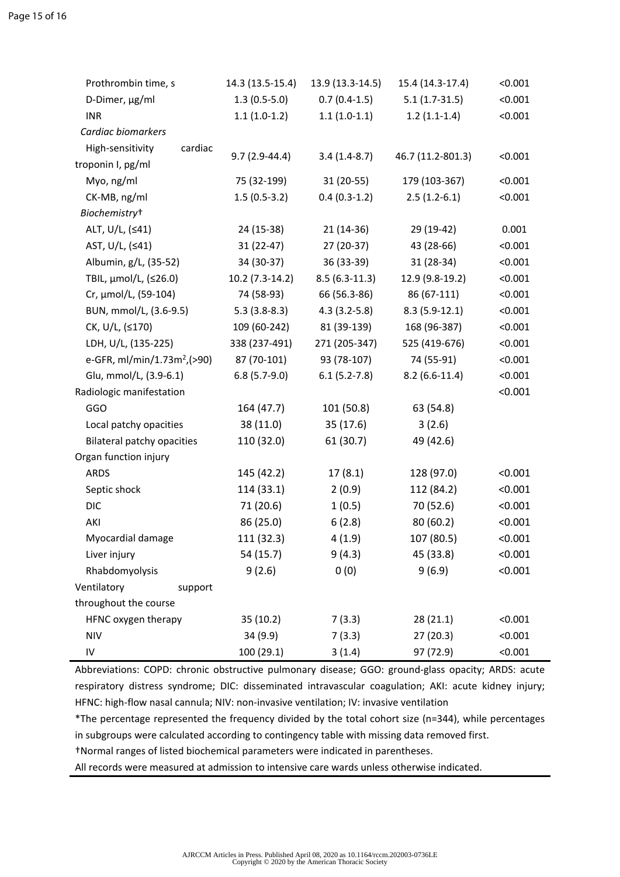| Prothrombin time, s                     | 14.3 (13.5-15.4) | 13.9 (13.3-14.5) | 15.4 (14.3-17.4)  | < 0.001 |
|-----------------------------------------|------------------|------------------|-------------------|---------|
| D-Dimer, µg/ml                          | $1.3(0.5-5.0)$   | $0.7(0.4-1.5)$   | $5.1(1.7-31.5)$   | < 0.001 |
| <b>INR</b>                              | $1.1(1.0-1.2)$   | $1.1(1.0-1.1)$   | $1.2(1.1-1.4)$    | < 0.001 |
| Cardiac biomarkers                      |                  |                  |                   |         |
| High-sensitivity<br>cardiac             |                  |                  |                   |         |
| troponin I, pg/ml                       | $9.7(2.9-44.4)$  | $3.4(1.4-8.7)$   | 46.7 (11.2-801.3) | < 0.001 |
| Myo, ng/ml                              | 75 (32-199)      | $31(20-55)$      | 179 (103-367)     | < 0.001 |
| CK-MB, ng/ml                            | $1.5(0.5-3.2)$   | $0.4(0.3-1.2)$   | $2.5(1.2-6.1)$    | < 0.001 |
| Biochemistry <sup>+</sup>               |                  |                  |                   |         |
| ALT, U/L, (≤41)                         | 24 (15-38)       | $21(14-36)$      | 29 (19-42)        | 0.001   |
| AST, U/L, (≤41)                         | $31(22-47)$      | 27 (20-37)       | 43 (28-66)        | < 0.001 |
| Albumin, g/L, (35-52)                   | 34 (30-37)       | 36 (33-39)       | $31(28-34)$       | < 0.001 |
| TBIL, µmol/L, (≤26.0)                   | $10.2(7.3-14.2)$ | $8.5(6.3-11.3)$  | 12.9 (9.8-19.2)   | < 0.001 |
| Cr, µmol/L, (59-104)                    | 74 (58-93)       | 66 (56.3-86)     | 86 (67-111)       | < 0.001 |
| BUN, mmol/L, (3.6-9.5)                  | $5.3(3.8-8.3)$   | $4.3(3.2-5.8)$   | $8.3(5.9-12.1)$   | < 0.001 |
| CK, U/L, (≤170)                         | 109 (60-242)     | 81 (39-139)      | 168 (96-387)      | < 0.001 |
| LDH, U/L, (135-225)                     | 338 (237-491)    | 271 (205-347)    | 525 (419-676)     | < 0.001 |
| e-GFR, ml/min/1.73m <sup>2</sup> ,(>90) | 87 (70-101)      | 93 (78-107)      | 74 (55-91)        | < 0.001 |
| Glu, mmol/L, (3.9-6.1)                  | $6.8(5.7-9.0)$   | $6.1(5.2-7.8)$   | $8.2(6.6-11.4)$   | < 0.001 |
| Radiologic manifestation                |                  |                  |                   | < 0.001 |
| GGO                                     | 164 (47.7)       | 101 (50.8)       | 63 (54.8)         |         |
| Local patchy opacities                  | 38 (11.0)        | 35(17.6)         | 3(2.6)            |         |
| <b>Bilateral patchy opacities</b>       | 110 (32.0)       | 61 (30.7)        | 49 (42.6)         |         |
| Organ function injury                   |                  |                  |                   |         |
| <b>ARDS</b>                             | 145 (42.2)       | 17(8.1)          | 128 (97.0)        | < 0.001 |
| Septic shock                            | 114 (33.1)       | 2(0.9)           | 112 (84.2)        | < 0.001 |
| <b>DIC</b>                              | 71 (20.6)        | 1(0.5)           | 70 (52.6)         | < 0.001 |
| AKI                                     | 86 (25.0)        | 6(2.8)           | 80 (60.2)         | < 0.001 |
| Myocardial damage                       | 111 (32.3)       | 4(1.9)           | 107 (80.5)        | < 0.001 |
| Liver injury                            | 54 (15.7)        | 9(4.3)           | 45 (33.8)         | < 0.001 |
| Rhabdomyolysis                          | 9(2.6)           | 0(0)             | 9(6.9)            | < 0.001 |
| Ventilatory<br>support                  |                  |                  |                   |         |
| throughout the course                   |                  |                  |                   |         |
| HFNC oxygen therapy                     | 35 (10.2)        | 7(3.3)           | 28(21.1)          | < 0.001 |
| <b>NIV</b>                              | 34 (9.9)         | 7(3.3)           | 27(20.3)          | < 0.001 |
| IV                                      | 100(29.1)        | 3(1.4)           | 97 (72.9)         | < 0.001 |

Abbreviations: COPD: chronic obstructive pulmonary disease; GGO: ground-glass opacity; ARDS: acute respiratory distress syndrome; DIC: disseminated intravascular coagulation; AKI: acute kidney injury; HFNC: high-flow nasal cannula; NIV: non-invasive ventilation; IV: invasive ventilation

\*The percentage represented the frequency divided by the total cohort size (n=344), while percentages in subgroups were calculated according to contingency table with missing data removed first.

†Normal ranges of listed biochemical parameters were indicated in parentheses.

All records were measured at admission to intensive care wards unless otherwise indicated.